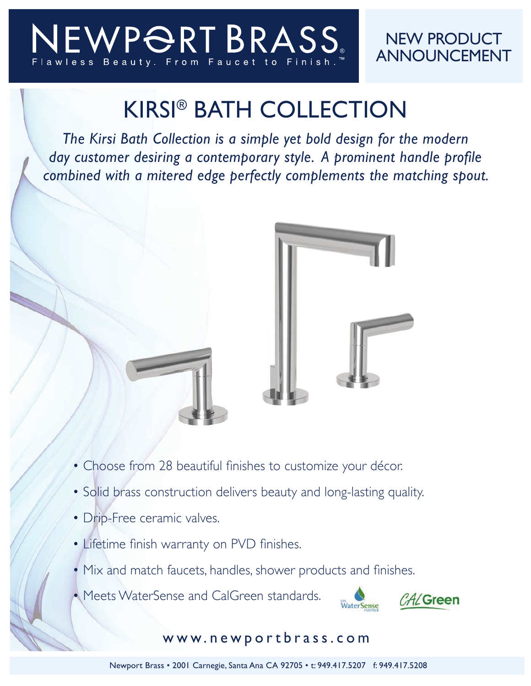## EWPORTBRASS

## NEW PRODUCT ANNOUNCEMENT

## KIRSI® BATH COLLECTION

*The Kirsi Bath Collection is a simple yet bold design for the modern day customer desiring a contemporary style. A prominent handle profile combined with a mitered edge perfectly complements the matching spout.*



- Choose from 28 beautiful finishes to customize your décor.
- Solid brass construction delivers beauty and long-lasting quality.
- Drip-Free ceramic valves.
- Lifetime finish warranty on PVD finishes.
- Mix and match faucets, handles, shower products and finishes.
- Meets WaterSense and CalGreen standards.



## www.newportbrass.com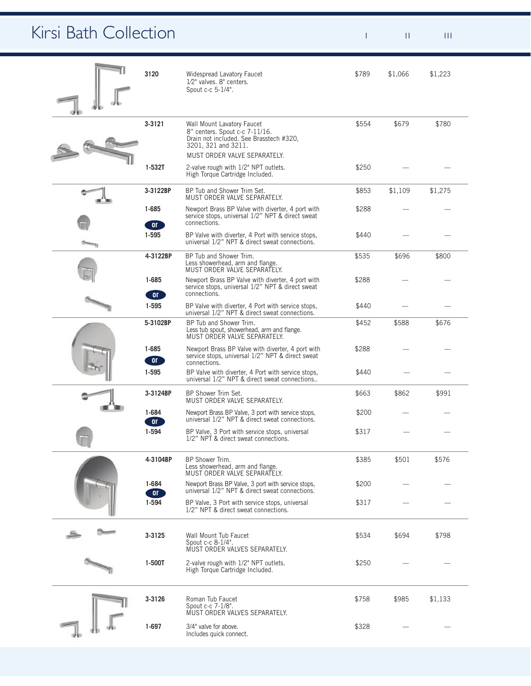| Kirsi Bath Collection               |                        |                                                                                                                                                                |       | H.      | $\  \cdot \  \cdot \ $ |  |  |
|-------------------------------------|------------------------|----------------------------------------------------------------------------------------------------------------------------------------------------------------|-------|---------|------------------------|--|--|
|                                     | 3120                   | Widespread Lavatory Faucet<br>1/2" valves. 8" centers.<br>Spout c-c 5-1/4".                                                                                    | \$789 | \$1,066 | \$1,223                |  |  |
|                                     | 3-3121                 | Wall Mount Lavatory Faucet<br>8" centers. Spout c-c 7-11/16.<br>Drain not included. See Brasstech #320,<br>3201, 321 and 3211.<br>MUST ORDER VALVE SEPARATELY. | \$554 | \$679   | \$780                  |  |  |
|                                     | $1-532T$               | 2-valve rough with 1/2" NPT outlets.<br>High Torque Cartridge Included.                                                                                        | \$250 |         |                        |  |  |
| $\sim$<br>and the                   | 3-3122BP               | BP Tub and Shower Trim Set.<br>MUST ORDER VALVE SEPARATELY.                                                                                                    | \$853 | \$1,109 | \$1,275                |  |  |
| G                                   | $1 - 685$<br><b>OF</b> | Newport Brass BP Valve with diverter, 4 port with<br>service stops, universal 1/2" NPT & direct sweat<br>connections.                                          | \$288 |         |                        |  |  |
| $\qquad \qquad \Longleftrightarrow$ | $1 - 595$              | BP Valve with diverter, 4 Port with service stops,<br>universal 1/2" NPT & direct sweat connections.                                                           | \$440 |         |                        |  |  |
|                                     | 4-3122BP               | BP Tub and Shower Trim.<br>Less showerhead, arm and flange.<br>MUST ORDER VALVE SEPARATELY.                                                                    | \$535 | \$696   | \$800                  |  |  |
| $\overline{\mathbb{F}}$             | 1-685<br><b>OT</b>     | Newport Brass BP Valve with diverter, 4 port with<br>service stops, universal 1/2" NPT & direct sweat<br>connections.                                          | \$288 |         |                        |  |  |
|                                     | 1-595                  | BP Valve with diverter, 4 Port with service stops,<br>universal 1/2" NPT & direct sweat connections.                                                           | \$440 |         |                        |  |  |
|                                     | 5-3102BP               | BP Tub and Shower Trim.<br>Less tub spout, showerhead, arm and flange.<br>MUST ORDER VALVE SEPARATELY.                                                         | \$452 | \$588   | \$676                  |  |  |
|                                     | $1 - 685$<br><b>OF</b> | Newport Brass BP Valve with diverter, 4 port with<br>service stops, universal 1/2" NPT & direct sweat<br>connections.                                          | \$288 |         |                        |  |  |
|                                     | $1 - 595$              | BP Valve with diverter, 4 Port with service stops,<br>universal 1/2" NPT & direct sweat connections                                                            | \$440 |         |                        |  |  |
|                                     | 3-3124BP               | BP Shower Trim Set.<br>MUST ORDER VALVE SEPARATELY.                                                                                                            | \$663 | \$862   | \$991                  |  |  |
| <b><i>Company Company</i></b>       | $1 - 684$<br>OT        | Newport Brass BP Valve, 3 port with service stops,<br>universal 1/2" NPT & direct sweat connections.                                                           | \$200 |         |                        |  |  |
| $\overline{\mathbb{C}}$             | 1-594                  | BP Valve, 3 Port with service stops, universal<br>1/2" NPT & direct sweat connections.                                                                         | \$317 |         |                        |  |  |
|                                     | 4-3104BP               | BP Shower Trim.<br>Less showerhead, arm and flange.<br>MUST ORDER VALVE SEPARATELY.                                                                            | \$385 | \$501   | \$576                  |  |  |
|                                     | 1-684<br><b>OT</b>     | Newport Brass BP Valve, 3 port with service stops,<br>universal 1/2" NPT & direct sweat connections.                                                           | \$200 |         |                        |  |  |
|                                     | 1-594                  | BP Valve, 3 Port with service stops, universal<br>1/2" NPT & direct sweat connections.                                                                         | \$317 |         |                        |  |  |
| $\sim$                              | 3-3125                 | Wall Mount Tub Faucet<br>Spout $c-c$ $8-1/4$ ".<br>MUST ORDER VALVES SEPARATELY.                                                                               | \$534 | \$694   | \$798                  |  |  |
|                                     | $1-500T$               | 2-valve rough with 1/2" NPT outlets.<br>High Torque Cartridge Included.                                                                                        | \$250 |         |                        |  |  |
|                                     | 3-3126                 | Roman Tub Faucet<br>Spout c-c 7-1/8".<br>MUST ORDER VALVES SEPARATELY.                                                                                         | \$758 | \$985   | \$1,133                |  |  |
|                                     | $1 - 697$              | 3/4" valve for above.<br>Includes quick connect.                                                                                                               | \$328 |         |                        |  |  |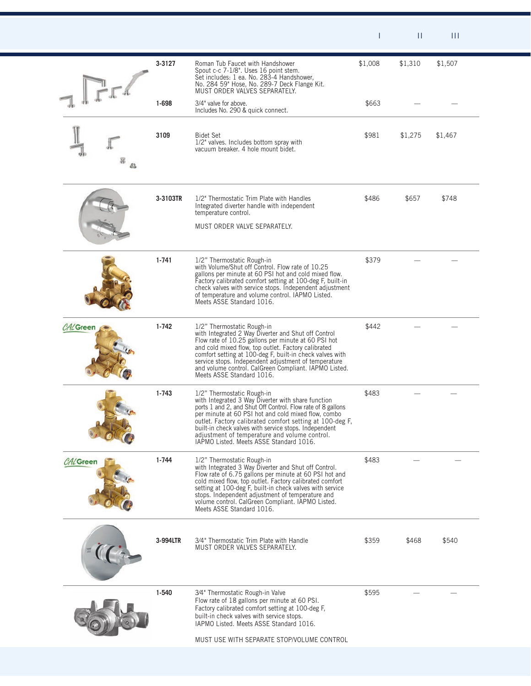|                 |           |                                                                                                                                                                                                                                                                                                                                                                                                                         |         | $\mathbf{H}$ | $\mathbf{H}$ |  |
|-----------------|-----------|-------------------------------------------------------------------------------------------------------------------------------------------------------------------------------------------------------------------------------------------------------------------------------------------------------------------------------------------------------------------------------------------------------------------------|---------|--------------|--------------|--|
|                 | 3-3127    | Roman Tub Faucet with Handshower<br>Spout c-c 7-1/8". Uses 16 point stem.<br>Set includes: 1 ea. No. 283-4 Handshower,<br>No. 284 59" Hose, No. 289-7 Deck Flange Kit.<br>MUST ORDER VALVES SEPARATELY.                                                                                                                                                                                                                 | \$1,008 | \$1,310      | \$1,507      |  |
|                 | 1-698     | 3/4" valve for above.<br>Includes No. 290 & quick connect.                                                                                                                                                                                                                                                                                                                                                              | \$663   |              |              |  |
|                 | 3109      | <b>Bidet Set</b><br>1/2" valves. Includes bottom spray with<br>vacuum breaker. 4 hole mount bidet.                                                                                                                                                                                                                                                                                                                      | \$981   | \$1,275      | \$1,467      |  |
|                 | 3-3103TR  | 1/2" Thermostatic Trim Plate with Handles<br>Integrated diverter handle with independent<br>temperature control.<br>MUST ORDER VALVE SEPARATELY.                                                                                                                                                                                                                                                                        | \$486   | \$657        | \$748        |  |
|                 | $1 - 741$ | 1/2" Thermostatic Rough-in<br>with Volume/Shut off Control. Flow rate of 10.25<br>gallons per minute at 60 PSI hot and cold mixed flow.<br>Factory calibrated comfort setting at 100-deg F, built-in<br>check valves with service stops. Independent adjustment<br>of temperature and volume control. IAPMO Listed.<br>Meets ASSE Standard 1016.                                                                        | \$379   |              |              |  |
| <b>CALGreen</b> | 1-742     | 1/2" Thermostatic Rough-in<br>with Integrated 2 Way Diverter and Shut off Control<br>Flow rate of 10.25 gallons per minute at 60 PSI hot<br>and cold mixed flow, top outlet. Factory calibrated<br>comfort setting at 100-deg F, built-in check valves with<br>service stops. Independent adjustment of temperature<br>and volume control. CalGreen Compliant. IAPMO Listed.<br>Meets ASSE Standard 1016.               | \$442   |              |              |  |
|                 | $1 - 743$ | 1/2" Thermostatic Rough-in<br>with Integrated 3 Way Diverter with share function<br>ports 1 and 2, and Shut Off Control. Flow rate of 8 gallons<br>per minute at 60 PSI hot and cold mixed flow, combo<br>outlet. Factory calibrated comfort setting at 100-deg F,<br>built-in check valves with service stops. Independent<br>adjustment of temperature and volume control.<br>IAPMO Listed. Meets ASSE Standard 1016. | \$483   |              |              |  |
| <b>CALGreen</b> | $1 - 744$ | 1/2" Thermostatic Rough-in<br>with Integrated 3 Way Diverter and Shut off Control.<br>Flow rate of 6.75 gallons per minute at 60 PSI hot and<br>cold mixed flow, top outlet. Factory calibrated comfort<br>setting at 100-deg F, built-in check valves with service<br>stops. Independent adjustment of temperature and<br>volume control. CalGreen Compliant. IAPMO Listed.<br>Meets ASSE Standard 1016.               | \$483   |              |              |  |
|                 | 3-994LTR  | 3/4" Thermostatic Trim Plate with Handle<br>MUST ORDER VALVES SEPARATELY.                                                                                                                                                                                                                                                                                                                                               | \$359   | \$468        | \$540        |  |
|                 | 1-540     | 3/4" Thermostatic Rough-in Valve<br>Flow rate of 18 gallons per minute at 60 PSI.<br>Factory calibrated comfort setting at 100-deg F,<br>built-in check valves with service stops.<br>IAPMO Listed. Meets ASSE Standard 1016.<br>MUST USE WITH SEPARATE STOP/VOLUME CONTROL                                                                                                                                             | \$595   |              |              |  |